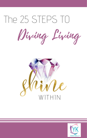# The 25 STEPS TO

Diving Living



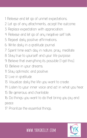1: Release and let go of unmet expectations.

- 2: Let go of any attachments, accept the outcome.
- 3: Replace expectation with appreciation.
- 4: Release and let go of any negative self talk.
- 5: Repeat daily positive affirmations.
- 6: Write daily in a gratitude journal.
- 7: Spent time each day in nature, pray, meditate.
- 8: Stay true to yourself and your life purpose.
- 9: Believe that everything its possible (I got this).
- 10: Believe in your dreams.
- 11: Stay optimistic and positive.

### 12: Live in gratitude.

- 13: Visualize daily the life you want to create.
- 14: Listen to your inner voice and act in what you hear.
- 15: Be generous and charitable.
- 16: Do things you want to do that bring you joy and

#### peace.

17: Prioritize the essential things.

# **www.yanikelly.com**